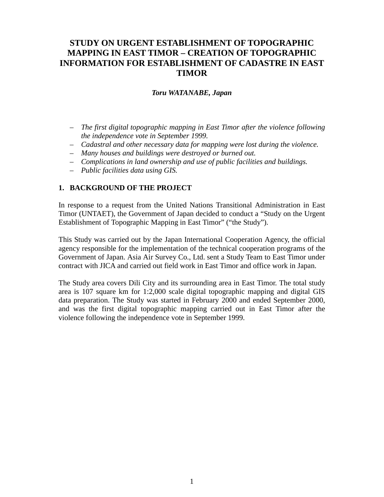# **STUDY ON URGENT ESTABLISHMENT OF TOPOGRAPHIC MAPPING IN EAST TIMOR – CREATION OF TOPOGRAPHIC INFORMATION FOR ESTABLISHMENT OF CADASTRE IN EAST TIMOR**

#### *Toru WATANABE, Japan*

- *The first digital topographic mapping in East Timor after the violence following the independence vote in September 1999.*
- *Cadastral and other necessary data for mapping were lost during the violence.*
- *Many houses and buildings were destroyed or burned out.*
- *Complications in land ownership and use of public facilities and buildings.*
- *Public facilities data using GIS.*

# **1. BACKGROUND OF THE PROJECT**

In response to a request from the United Nations Transitional Administration in East Timor (UNTAET), the Government of Japan decided to conduct a "Study on the Urgent Establishment of Topographic Mapping in East Timor" ("the Study").

This Study was carried out by the Japan International Cooperation Agency, the official agency responsible for the implementation of the technical cooperation programs of the Government of Japan. Asia Air Survey Co., Ltd. sent a Study Team to East Timor under contract with JICA and carried out field work in East Timor and office work in Japan.

The Study area covers Dili City and its surrounding area in East Timor. The total study area is 107 square km for 1:2,000 scale digital topographic mapping and digital GIS data preparation. The Study was started in February 2000 and ended September 2000, and was the first digital topographic mapping carried out in East Timor after the violence following the independence vote in September 1999.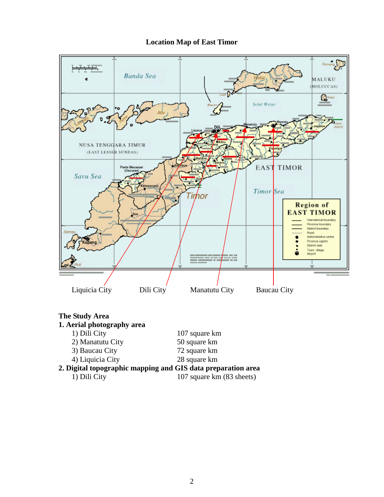# **Location Map of East Timor**



| <b>The Study Area</b>                                        |                           |
|--------------------------------------------------------------|---------------------------|
| 1. Aerial photography area                                   |                           |
| 1) Dili City                                                 | 107 square km             |
| 2) Manatutu City                                             | 50 square km              |
| 3) Baucau City                                               | 72 square km              |
| 4) Liquicia City                                             | 28 square km              |
| 2. Digital topographic mapping and GIS data preparation area |                           |
| 1) Dili City                                                 | 107 square km (83 sheets) |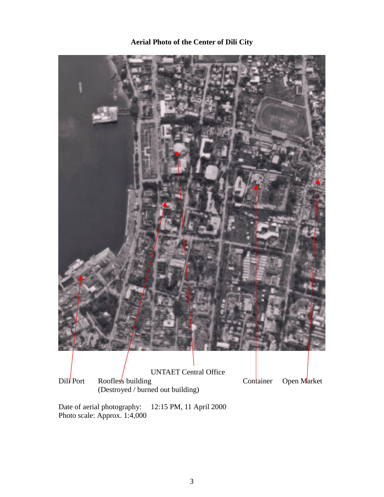# **Aerial Photo of the Center of Dili City**



Date of aerial photography: 12:15 PM, 11 April 2000 Photo scale: Approx. 1:4,000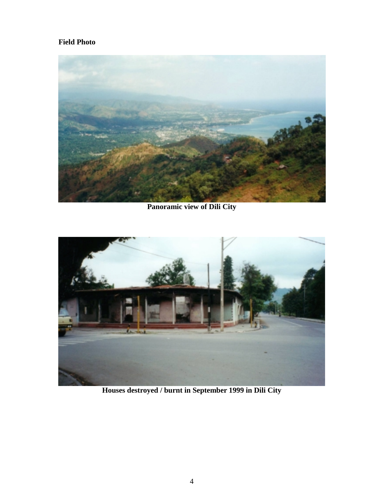# **Field Photo**



**Panoramic view of Dili City**



**Houses destroyed / burnt in September 1999 in Dili City**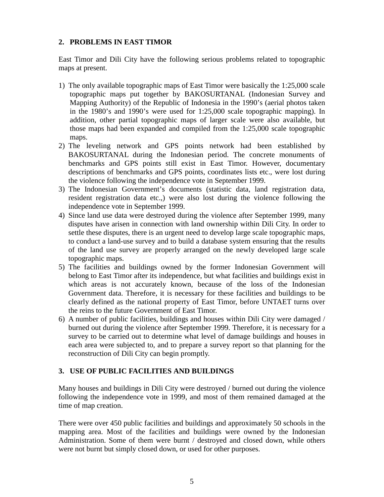### **2. PROBLEMS IN EAST TIMOR**

East Timor and Dili City have the following serious problems related to topographic maps at present.

- 1) The only available topographic maps of East Timor were basically the 1:25,000 scale topographic maps put together by BAKOSURTANAL (Indonesian Survey and Mapping Authority) of the Republic of Indonesia in the 1990's (aerial photos taken in the 1980's and 1990's were used for 1:25,000 scale topographic mapping). In addition, other partial topographic maps of larger scale were also available, but those maps had been expanded and compiled from the 1:25,000 scale topographic maps.
- 2) The leveling network and GPS points network had been established by BAKOSURTANAL during the Indonesian period. The concrete monuments of benchmarks and GPS points still exist in East Timor. However, documentary descriptions of benchmarks and GPS points, coordinates lists etc., were lost during the violence following the independence vote in September 1999.
- 3) The Indonesian Government's documents (statistic data, land registration data, resident registration data etc.,) were also lost during the violence following the independence vote in September 1999.
- 4) Since land use data were destroyed during the violence after September 1999, many disputes have arisen in connection with land ownership within Dili City. In order to settle these disputes, there is an urgent need to develop large scale topographic maps, to conduct a land-use survey and to build a database system ensuring that the results of the land use survey are properly arranged on the newly developed large scale topographic maps.
- 5) The facilities and buildings owned by the former Indonesian Government will belong to East Timor after its independence, but what facilities and buildings exist in which areas is not accurately known, because of the loss of the Indonesian Government data. Therefore, it is necessary for these facilities and buildings to be clearly defined as the national property of East Timor, before UNTAET turns over the reins to the future Government of East Timor.
- 6) A number of public facilities, buildings and houses within Dili City were damaged / burned out during the violence after September 1999. Therefore, it is necessary for a survey to be carried out to determine what level of damage buildings and houses in each area were subjected to, and to prepare a survey report so that planning for the reconstruction of Dili City can begin promptly.

# **3. USE OF PUBLIC FACILITIES AND BUILDINGS**

Many houses and buildings in Dili City were destroyed / burned out during the violence following the independence vote in 1999, and most of them remained damaged at the time of map creation.

There were over 450 public facilities and buildings and approximately 50 schools in the mapping area. Most of the facilities and buildings were owned by the Indonesian Administration. Some of them were burnt / destroyed and closed down, while others were not burnt but simply closed down, or used for other purposes.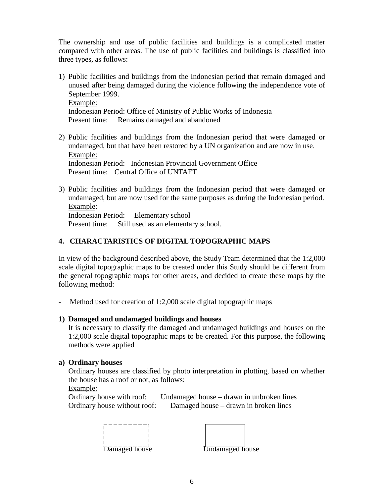The ownership and use of public facilities and buildings is a complicated matter compared with other areas. The use of public facilities and buildings is classified into three types, as follows:

- 1) Public facilities and buildings from the Indonesian period that remain damaged and unused after being damaged during the violence following the independence vote of September 1999. Example: Indonesian Period: Office of Ministry of Public Works of Indonesia Present time: Remains damaged and abandoned
- 2) Public facilities and buildings from the Indonesian period that were damaged or undamaged, but that have been restored by a UN organization and are now in use. Example: Indonesian Period: Indonesian Provincial Government Office Present time: Central Office of UNTAET
- 3) Public facilities and buildings from the Indonesian period that were damaged or undamaged, but are now used for the same purposes as during the Indonesian period. Example: Indonesian Period: Elementary school Present time: Still used as an elementary school.

# **4. CHARACTARISTICS OF DIGITAL TOPOGRAPHIC MAPS**

In view of the background described above, the Study Team determined that the 1:2,000 scale digital topographic maps to be created under this Study should be different from the general topographic maps for other areas, and decided to create these maps by the following method:

- Method used for creation of 1:2,000 scale digital topographic maps

#### **1) Damaged and undamaged buildings and houses**

It is necessary to classify the damaged and undamaged buildings and houses on the 1:2,000 scale digital topographic maps to be created. For this purpose, the following methods were applied

#### **a) Ordinary houses**

Ordinary houses are classified by photo interpretation in plotting, based on whether the house has a roof or not, as follows:

Example:

Ordinary house with roof: Undamaged house – drawn in unbroken lines Ordinary house without roof: Damaged house – drawn in broken lines

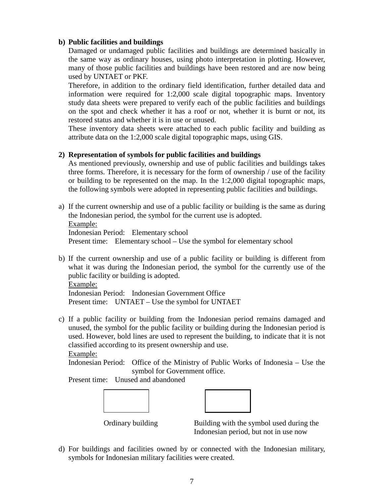### **b) Public facilities and buildings**

Damaged or undamaged public facilities and buildings are determined basically in the same way as ordinary houses, using photo interpretation in plotting. However, many of those public facilities and buildings have been restored and are now being used by UNTAET or PKF.

Therefore, in addition to the ordinary field identification, further detailed data and information were required for 1:2,000 scale digital topographic maps. Inventory study data sheets were prepared to verify each of the public facilities and buildings on the spot and check whether it has a roof or not, whether it is burnt or not, its restored status and whether it is in use or unused.

These inventory data sheets were attached to each public facility and building as attribute data on the 1:2,000 scale digital topographic maps, using GIS.

#### **2) Representation of symbols for public facilities and buildings**

As mentioned previously, ownership and use of public facilities and buildings takes three forms. Therefore, it is necessary for the form of ownership / use of the facility or building to be represented on the map. In the 1:2,000 digital topographic maps, the following symbols were adopted in representing public facilities and buildings.

- a) If the current ownership and use of a public facility or building is the same as during the Indonesian period, the symbol for the current use is adopted. Example: Indonesian Period: Elementary school Present time: Elementary school – Use the symbol for elementary school
- b) If the current ownership and use of a public facility or building is different from what it was during the Indonesian period, the symbol for the currently use of the public facility or building is adopted.

Example:

Indonesian Period: Indonesian Government Office Present time: UNTAET – Use the symbol for UNTAET

c) If a public facility or building from the Indonesian period remains damaged and unused, the symbol for the public facility or building during the Indonesian period is used. However, bold lines are used to represent the building, to indicate that it is not classified according to its present ownership and use.

Example:

Indonesian Period: Office of the Ministry of Public Works of Indonesia – Use the symbol for Government office.

Present time: Unused and abandoned





Ordinary building Building with the symbol used during the Indonesian period, but not in use now

d) For buildings and facilities owned by or connected with the Indonesian military, symbols for Indonesian military facilities were created.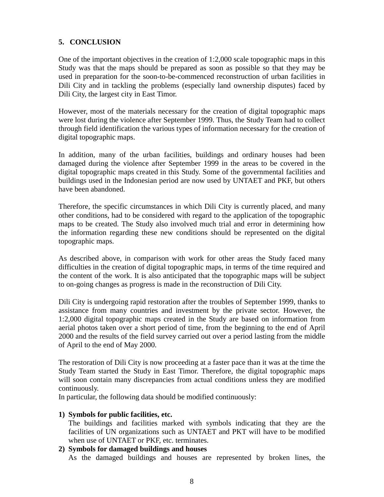# **5. CONCLUSION**

One of the important objectives in the creation of 1:2,000 scale topographic maps in this Study was that the maps should be prepared as soon as possible so that they may be used in preparation for the soon-to-be-commenced reconstruction of urban facilities in Dili City and in tackling the problems (especially land ownership disputes) faced by Dili City, the largest city in East Timor.

However, most of the materials necessary for the creation of digital topographic maps were lost during the violence after September 1999. Thus, the Study Team had to collect through field identification the various types of information necessary for the creation of digital topographic maps.

In addition, many of the urban facilities, buildings and ordinary houses had been damaged during the violence after September 1999 in the areas to be covered in the digital topographic maps created in this Study. Some of the governmental facilities and buildings used in the Indonesian period are now used by UNTAET and PKF, but others have been abandoned.

Therefore, the specific circumstances in which Dili City is currently placed, and many other conditions, had to be considered with regard to the application of the topographic maps to be created. The Study also involved much trial and error in determining how the information regarding these new conditions should be represented on the digital topographic maps.

As described above, in comparison with work for other areas the Study faced many difficulties in the creation of digital topographic maps, in terms of the time required and the content of the work. It is also anticipated that the topographic maps will be subject to on-going changes as progress is made in the reconstruction of Dili City.

Dili City is undergoing rapid restoration after the troubles of September 1999, thanks to assistance from many countries and investment by the private sector. However, the 1:2,000 digital topographic maps created in the Study are based on information from aerial photos taken over a short period of time, from the beginning to the end of April 2000 and the results of the field survey carried out over a period lasting from the middle of April to the end of May 2000.

The restoration of Dili City is now proceeding at a faster pace than it was at the time the Study Team started the Study in East Timor. Therefore, the digital topographic maps will soon contain many discrepancies from actual conditions unless they are modified continuously.

In particular, the following data should be modified continuously:

# **1) Symbols for public facilities, etc.**

The buildings and facilities marked with symbols indicating that they are the facilities of UN organizations such as UNTAET and PKT will have to be modified when use of UNTAET or PKF, etc. terminates.

#### **2) Symbols for damaged buildings and houses**

As the damaged buildings and houses are represented by broken lines, the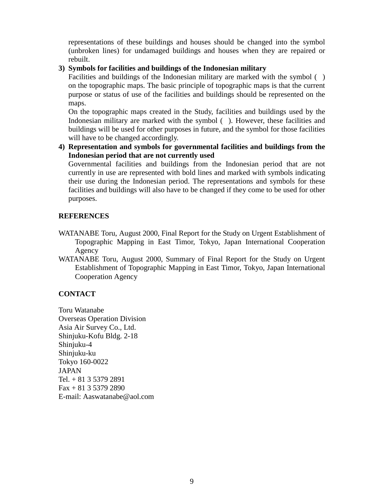representations of these buildings and houses should be changed into the symbol (unbroken lines) for undamaged buildings and houses when they are repaired or rebuilt.

#### **3) Symbols for facilities and buildings of the Indonesian military**

Facilities and buildings of the Indonesian military are marked with the symbol () on the topographic maps. The basic principle of topographic maps is that the current purpose or status of use of the facilities and buildings should be represented on the maps.

On the topographic maps created in the Study, facilities and buildings used by the Indonesian military are marked with the symbol ( ). However, these facilities and buildings will be used for other purposes in future, and the symbol for those facilities will have to be changed accordingly.

**4) Representation and symbols for governmental facilities and buildings from the Indonesian period that are not currently used**

Governmental facilities and buildings from the Indonesian period that are not currently in use are represented with bold lines and marked with symbols indicating their use during the Indonesian period. The representations and symbols for these facilities and buildings will also have to be changed if they come to be used for other purposes.

#### **REFERENCES**

- WATANABE Toru, August 2000, Final Report for the Study on Urgent Establishment of Topographic Mapping in East Timor, Tokyo, Japan International Cooperation Agency
- WATANABE Toru, August 2000, Summary of Final Report for the Study on Urgent Establishment of Topographic Mapping in East Timor, Tokyo, Japan International Cooperation Agency

# **CONTACT**

Toru Watanabe Overseas Operation Division Asia Air Survey Co., Ltd. Shinjuku-Kofu Bldg. 2-18 Shinjuku-4 Shinjuku-ku Tokyo 160-0022 JAPAN Tel. + 81 3 5379 2891  $Fax + 81 3 5379 2890$ E-mail: Aaswatanabe@aol.com